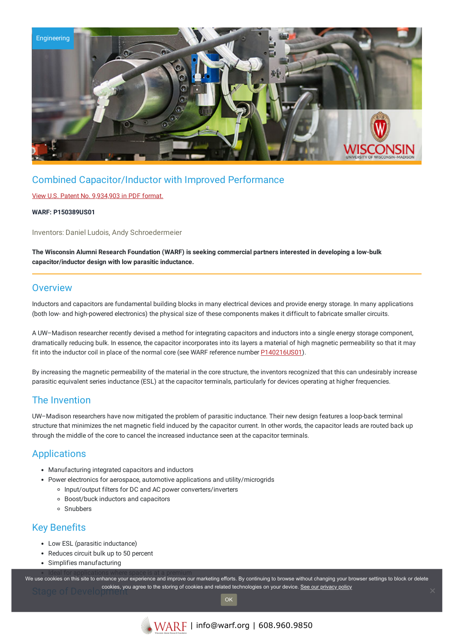

# Combined Capacitor/Inductor with Improved Performance

### View U.S. Patent No. [9,934,903](https://www.warf.org/wp-content/uploads/technologies/ipstatus/P150389US01.pdf) in PDF format.

#### **WARF: P150389US01**

Inventors: Daniel Ludois, Andy Schroedermeier

**The Wisconsin Alumni Research Foundation (WARF) is seeking commercial partners interested in developing a low-bulk capacitor/inductor design with low parasitic inductance.**

### **Overview**

Inductors and capacitors are fundamental building blocks in many electrical devices and provide energy storage. In many applications (both low- and high-powered electronics) the physical size of these components makes it difficult to fabricate smaller circuits.

A UW–Madison researcher recently devised a method for integrating capacitors and inductors into a single energy storage component, dramatically reducing bulk. In essence, the capacitor incorporates into its layers a material of high magnetic permeability so that it may fit into the inductor coil in place of the normal core (see WARF reference number **P140216US01**).

By increasing the magnetic permeability of the material in the core structure, the inventors recognized that this can undesirably increase parasitic equivalent series inductance (ESL) at the capacitor terminals, particularly for devices operating at higher frequencies.

### The Invention

UW–Madison researchers have now mitigated the problem of parasitic inductance. Their new design features a loop-back terminal structure that minimizes the net magnetic field induced by the capacitor current. In other words, the capacitor leads are routed back up through the middle of the core to cancel the increased inductance seen at the capacitor terminals.

## **Applications**

- Manufacturing integrated capacitors and inductors
- Power electronics for aerospace, automotive applications and utility/microgrids
	- o Input/output filters for DC and AC power converters/inverters
	- Boost/buck inductors and capacitors
	- Snubbers

### Key Benefits

- Low ESL (parasitic inductance)
- Reduces circuit bulk up to 50 percent
- Simplifies manufacturing

we use cookies on this site to enhance your experience and improve our marketing efforts. By continuing to browse without changing your browser settings to block or delete Stage of Development cookies, you agree to the storing of cookies and related technologies on your device. [See our privacy policy](https://www.warf.org/privacy-policy/)